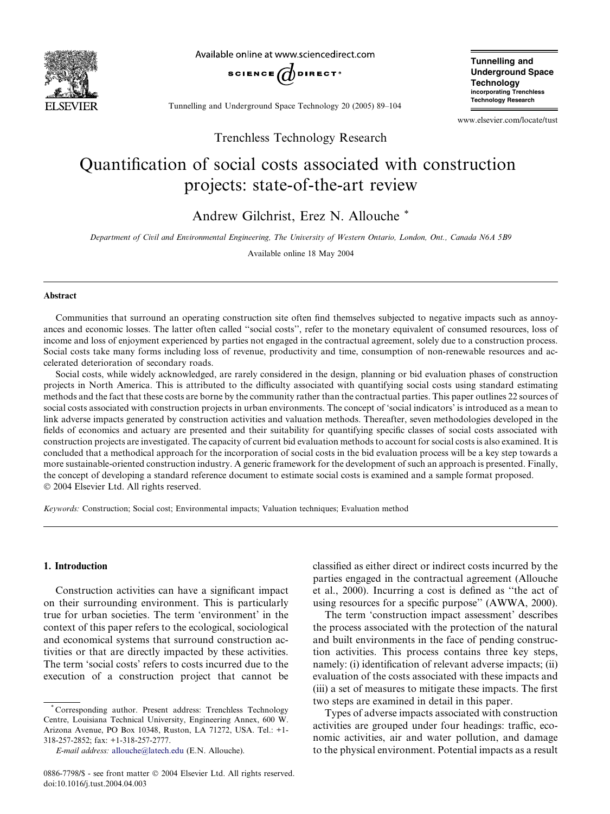

Available online at www.sciencedirect.com



Tunnelling and Underground Space **Technology** incorporating Trenchless Technology Research

www.elsevier.com/locate/tust

Tunnelling and Underground Space Technology 20 (2005) 89–104

Trenchless Technology Research

# Quantification of social costs associated with construction projects: state-of-the-art review

Andrew Gilchrist, Erez N. Allouche \*

Department of Civil and Environmental Engineering, The University of Western Ontario, London, Ont., Canada N6A 5B9

Available online 18 May 2004

#### Abstract

Communities that surround an operating construction site often find themselves subjected to negative impacts such as annoyances and economic losses. The latter often called ''social costs'', refer to the monetary equivalent of consumed resources, loss of income and loss of enjoyment experienced by parties not engaged in the contractual agreement, solely due to a construction process. Social costs take many forms including loss of revenue, productivity and time, consumption of non-renewable resources and accelerated deterioration of secondary roads.

Social costs, while widely acknowledged, are rarely considered in the design, planning or bid evaluation phases of construction projects in North America. This is attributed to the difficulty associated with quantifying social costs using standard estimating methods and the fact that these costs are borne by the community rather than the contractual parties. This paper outlines 22 sources of social costs associated with construction projects in urban environments. The concept of 'social indicators' is introduced as a mean to link adverse impacts generated by construction activities and valuation methods. Thereafter, seven methodologies developed in the fields of economics and actuary are presented and their suitability for quantifying specific classes of social costs associated with construction projects are investigated. The capacity of current bid evaluation methods to account for social costs is also examined. It is concluded that a methodical approach for the incorporation of social costs in the bid evaluation process will be a key step towards a more sustainable-oriented construction industry. A generic framework for the development of such an approach is presented. Finally, the concept of developing a standard reference document to estimate social costs is examined and a sample format proposed. 2004 Elsevier Ltd. All rights reserved.

Keywords: Construction; Social cost; Environmental impacts; Valuation techniques; Evaluation method

## 1. Introduction

Construction activities can have a significant impact on their surrounding environment. This is particularly true for urban societies. The term 'environment' in the context of this paper refers to the ecological, sociological and economical systems that surround construction activities or that are directly impacted by these activities. The term 'social costs' refers to costs incurred due to the execution of a construction project that cannot be

classified as either direct or indirect costs incurred by the parties engaged in the contractual agreement (Allouche et al., 2000). Incurring a cost is defined as ''the act of using resources for a specific purpose'' (AWWA, 2000).

The term 'construction impact assessment' describes the process associated with the protection of the natural and built environments in the face of pending construction activities. This process contains three key steps, namely: (i) identification of relevant adverse impacts; (ii) evaluation of the costs associated with these impacts and (iii) a set of measures to mitigate these impacts. The first two steps are examined in detail in this paper.

Types of adverse impacts associated with construction activities are grouped under four headings: traffic, economic activities, air and water pollution, and damage to the physical environment. Potential impacts as a result

<sup>\*</sup> Corresponding author. Present address: Trenchless Technology Centre, Louisiana Technical University, Engineering Annex, 600 W. Arizona Avenue, PO Box 10348, Ruston, LA 71272, USA. Tel.: +1- 318-257-2852; fax: +1-318-257-2777.

E-mail address: [allouche@latech.edu](mail to: allouche@latech.edu) (E.N. Allouche).

<sup>0886-7798/\$ -</sup> see front matter © 2004 Elsevier Ltd. All rights reserved. doi:10.1016/j.tust.2004.04.003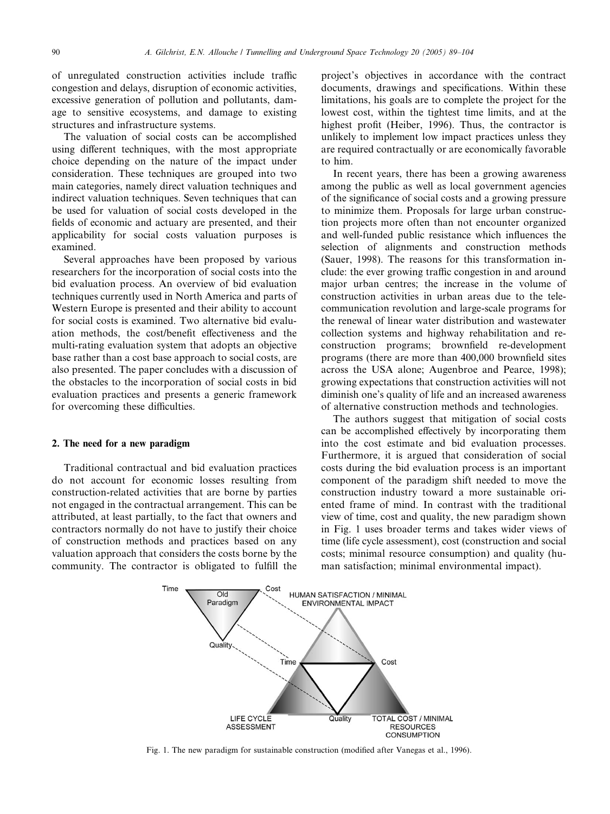of unregulated construction activities include traffic congestion and delays, disruption of economic activities, excessive generation of pollution and pollutants, damage to sensitive ecosystems, and damage to existing structures and infrastructure systems.

The valuation of social costs can be accomplished using different techniques, with the most appropriate choice depending on the nature of the impact under consideration. These techniques are grouped into two main categories, namely direct valuation techniques and indirect valuation techniques. Seven techniques that can be used for valuation of social costs developed in the fields of economic and actuary are presented, and their applicability for social costs valuation purposes is examined.

Several approaches have been proposed by various researchers for the incorporation of social costs into the bid evaluation process. An overview of bid evaluation techniques currently used in North America and parts of Western Europe is presented and their ability to account for social costs is examined. Two alternative bid evaluation methods, the cost/benefit effectiveness and the multi-rating evaluation system that adopts an objective base rather than a cost base approach to social costs, are also presented. The paper concludes with a discussion of the obstacles to the incorporation of social costs in bid evaluation practices and presents a generic framework for overcoming these difficulties.

### 2. The need for a new paradigm

Traditional contractual and bid evaluation practices do not account for economic losses resulting from construction-related activities that are borne by parties not engaged in the contractual arrangement. This can be attributed, at least partially, to the fact that owners and contractors normally do not have to justify their choice of construction methods and practices based on any valuation approach that considers the costs borne by the community. The contractor is obligated to fulfill the project's objectives in accordance with the contract documents, drawings and specifications. Within these limitations, his goals are to complete the project for the lowest cost, within the tightest time limits, and at the highest profit (Heiber, 1996). Thus, the contractor is unlikely to implement low impact practices unless they are required contractually or are economically favorable to him.

In recent years, there has been a growing awareness among the public as well as local government agencies of the significance of social costs and a growing pressure to minimize them. Proposals for large urban construction projects more often than not encounter organized and well-funded public resistance which influences the selection of alignments and construction methods (Sauer, 1998). The reasons for this transformation include: the ever growing traffic congestion in and around major urban centres; the increase in the volume of construction activities in urban areas due to the telecommunication revolution and large-scale programs for the renewal of linear water distribution and wastewater collection systems and highway rehabilitation and reconstruction programs; brownfield re-development programs (there are more than 400,000 brownfield sites across the USA alone; Augenbroe and Pearce, 1998); growing expectations that construction activities will not diminish one's quality of life and an increased awareness of alternative construction methods and technologies.

The authors suggest that mitigation of social costs can be accomplished effectively by incorporating them into the cost estimate and bid evaluation processes. Furthermore, it is argued that consideration of social costs during the bid evaluation process is an important component of the paradigm shift needed to move the construction industry toward a more sustainable oriented frame of mind. In contrast with the traditional view of time, cost and quality, the new paradigm shown in Fig. 1 uses broader terms and takes wider views of time (life cycle assessment), cost (construction and social costs; minimal resource consumption) and quality (human satisfaction; minimal environmental impact).



Fig. 1. The new paradigm for sustainable construction (modified after Vanegas et al., 1996).